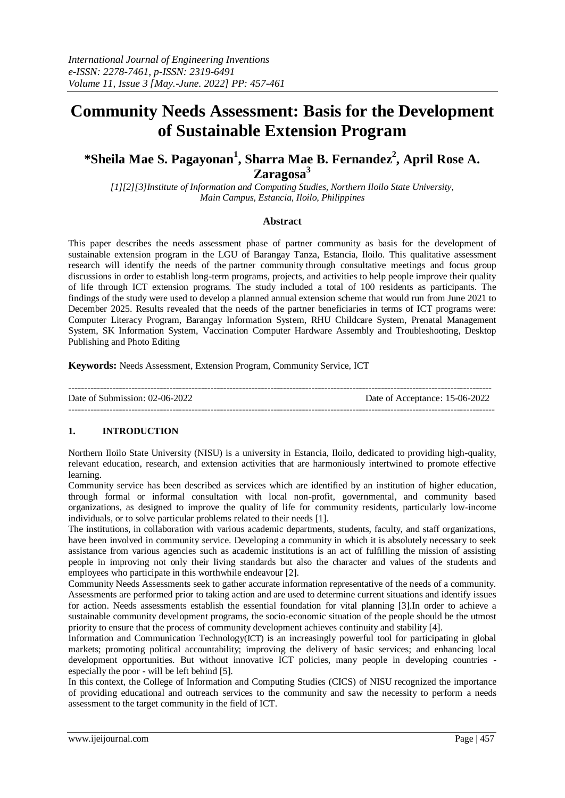# **Community Needs Assessment: Basis for the Development of Sustainable Extension Program**

# **\*Sheila Mae S. Pagayonan<sup>1</sup> , Sharra Mae B. Fernandez<sup>2</sup> , April Rose A. Zaragosa<sup>3</sup>**

*[1][2][3]Institute of Information and Computing Studies, Northern Iloilo State University, Main Campus, Estancia, Iloilo, Philippines*

#### **Abstract**

This paper describes the needs assessment phase of partner community as basis for the development of sustainable extension program in the LGU of Barangay Tanza, Estancia, Iloilo. This qualitative assessment research will identify the needs of the partner community through consultative meetings and focus group discussions in order to establish long-term programs, projects, and activities to help people improve their quality of life through ICT extension programs. The study included a total of 100 residents as participants. The findings of the study were used to develop a planned annual extension scheme that would run from June 2021 to December 2025. Results revealed that the needs of the partner beneficiaries in terms of ICT programs were: Computer Literacy Program, Barangay Information System, RHU Childcare System, Prenatal Management System, SK Information System, Vaccination Computer Hardware Assembly and Troubleshooting, Desktop Publishing and Photo Editing

**Keywords:** Needs Assessment, Extension Program, Community Service, ICT

-------------------------------------------------------------------------------------------------------------------------------------- Date of Submission: 02-06-2022 Date of Acceptance: 15-06-2022 ---------------------------------------------------------------------------------------------------------------------------------------

# **1. INTRODUCTION**

Northern Iloilo State University (NISU) is a university in Estancia, Iloilo, dedicated to providing high-quality, relevant education, research, and extension activities that are harmoniously intertwined to promote effective learning.

Community service has been described as services which are identified by an institution of higher education, through formal or informal consultation with local non-profit, governmental, and community based organizations, as designed to improve the quality of life for community residents, particularly low-income individuals, or to solve particular problems related to their needs [1].

The institutions, in collaboration with various academic departments, students, faculty, and staff organizations, have been involved in community service. Developing a community in which it is absolutely necessary to seek assistance from various agencies such as academic institutions is an act of fulfilling the mission of assisting people in improving not only their living standards but also the character and values of the students and employees who participate in this worthwhile endeavour [2].

Community Needs Assessments seek to gather accurate information representative of the needs of a community. Assessments are performed prior to taking action and are used to determine current situations and identify issues for action. Needs assessments establish the essential foundation for vital planning [3].In order to achieve a sustainable community development programs, the socio-economic situation of the people should be the utmost priority to ensure that the process of community development achieves continuity and stability [4].

Information and Communication Technology(ICT) is an increasingly powerful tool for participating in global markets; promoting political accountability; improving the delivery of basic services; and enhancing local development opportunities. But without innovative ICT policies, many people in developing countries especially the poor - will be left behind [5].

In this context, the College of Information and Computing Studies (CICS) of NISU recognized the importance of providing educational and outreach services to the community and saw the necessity to perform a needs assessment to the target community in the field of ICT.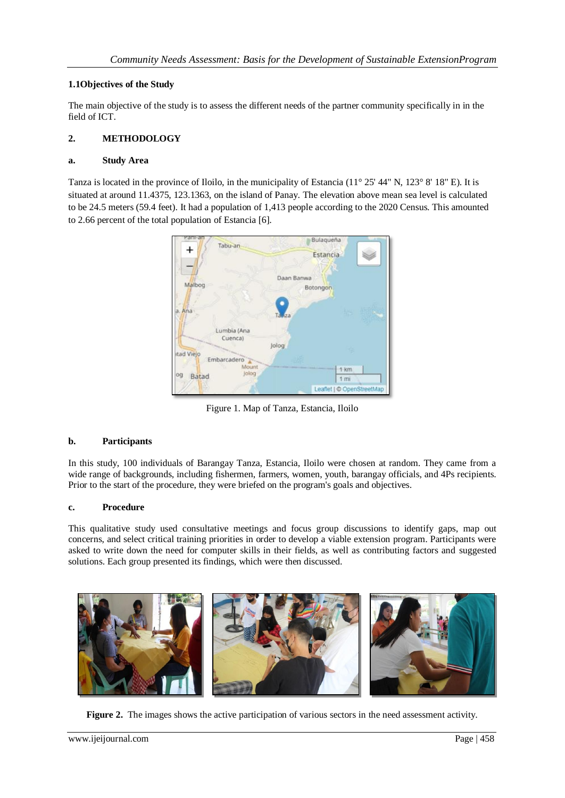# **1.1Objectives of the Study**

The main objective of the study is to assess the different needs of the partner community specifically in in the field of ICT.

# **2. METHODOLOGY**

### **a. Study Area**

Tanza is located in the province of Iloilo, in the municipality of Estancia (11° 25' 44" N, 123° 8' 18" E). It is situated at around 11.4375, 123.1363, on the island of Panay. The elevation above mean sea level is calculated to be 24.5 meters (59.4 feet). It had a population of 1,413 people according to the 2020 Census. This amounted to 2.66 percent of the total population of Estancia [6].



Figure 1. Map of Tanza, Estancia, Iloilo

# **b. Participants**

In this study, 100 individuals of Barangay Tanza, Estancia, Iloilo were chosen at random. They came from a wide range of backgrounds, including fishermen, farmers, women, youth, barangay officials, and 4Ps recipients. Prior to the start of the procedure, they were briefed on the program's goals and objectives.

# **c. Procedure**

This qualitative study used consultative meetings and focus group discussions to identify gaps, map out concerns, and select critical training priorities in order to develop a viable extension program. Participants were asked to write down the need for computer skills in their fields, as well as contributing factors and suggested solutions. Each group presented its findings, which were then discussed.



**Figure 2.** The images shows the active participation of various sectors in the need assessment activity.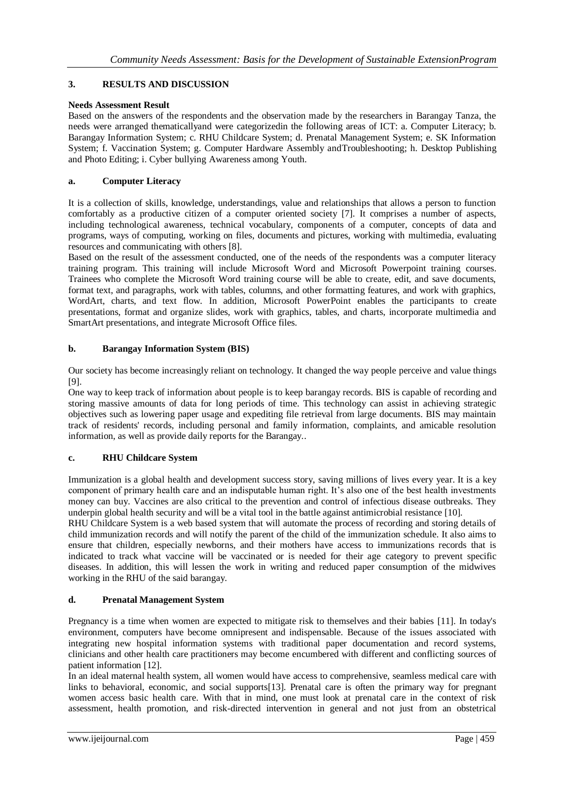# **3. RESULTS AND DISCUSSION**

# **Needs Assessment Result**

Based on the answers of the respondents and the observation made by the researchers in Barangay Tanza, the needs were arranged thematicallyand were categorizedin the following areas of ICT: a. Computer Literacy; b. Barangay Information System; c. RHU Childcare System; d. Prenatal Management System; e. SK Information System; f. Vaccination System; g. Computer Hardware Assembly andTroubleshooting; h. Desktop Publishing and Photo Editing; i. Cyber bullying Awareness among Youth.

### **a. Computer Literacy**

It is a collection of skills, knowledge, understandings, value and relationships that allows a person to function comfortably as a productive citizen of a computer oriented society [7]. It comprises a number of aspects, including technological awareness, technical vocabulary, components of a computer, concepts of data and programs, ways of computing, working on files, documents and pictures, working with multimedia, evaluating resources and communicating with others [8].

Based on the result of the assessment conducted, one of the needs of the respondents was a computer literacy training program. This training will include Microsoft Word and Microsoft Powerpoint training courses. Trainees who complete the Microsoft Word training course will be able to create, edit, and save documents, format text, and paragraphs, work with tables, columns, and other formatting features, and work with graphics, WordArt, charts, and text flow. In addition, Microsoft PowerPoint enables the participants to create presentations, format and organize slides, work with graphics, tables, and charts, incorporate multimedia and SmartArt presentations, and integrate Microsoft Office files.

#### **b. Barangay Information System (BIS)**

Our society has become increasingly reliant on technology. It changed the way people perceive and value things [9].

One way to keep track of information about people is to keep barangay records. BIS is capable of recording and storing massive amounts of data for long periods of time. This technology can assist in achieving strategic objectives such as lowering paper usage and expediting file retrieval from large documents. BIS may maintain track of residents' records, including personal and family information, complaints, and amicable resolution information, as well as provide daily reports for the Barangay..

# **c. RHU Childcare System**

Immunization is a global health and development success story, saving millions of lives every year. It is a key component of primary health care and an indisputable human right. It's also one of the best health investments money can buy. Vaccines are also critical to the prevention and control of infectious disease outbreaks. They underpin global health security and will be a vital tool in the battle against antimicrobial resistance [10].

RHU Childcare System is a web based system that will automate the process of recording and storing details of child immunization records and will notify the parent of the child of the immunization schedule. It also aims to ensure that children, especially newborns, and their mothers have access to immunizations records that is indicated to track what vaccine will be vaccinated or is needed for their age category to prevent specific diseases. In addition, this will lessen the work in writing and reduced paper consumption of the midwives working in the RHU of the said barangay.

#### **d. Prenatal Management System**

Pregnancy is a time when women are expected to mitigate risk to themselves and their babies [11]. In today's environment, computers have become omnipresent and indispensable. Because of the issues associated with integrating new hospital information systems with traditional paper documentation and record systems, clinicians and other health care practitioners may become encumbered with different and conflicting sources of patient information [12].

In an ideal maternal health system, all women would have access to comprehensive, seamless medical care with links to behavioral, economic, and social supports[13]. Prenatal care is often the primary way for pregnant women access basic health care. With that in mind, one must look at prenatal care in the context of risk assessment, health promotion, and risk-directed intervention in general and not just from an obstetrical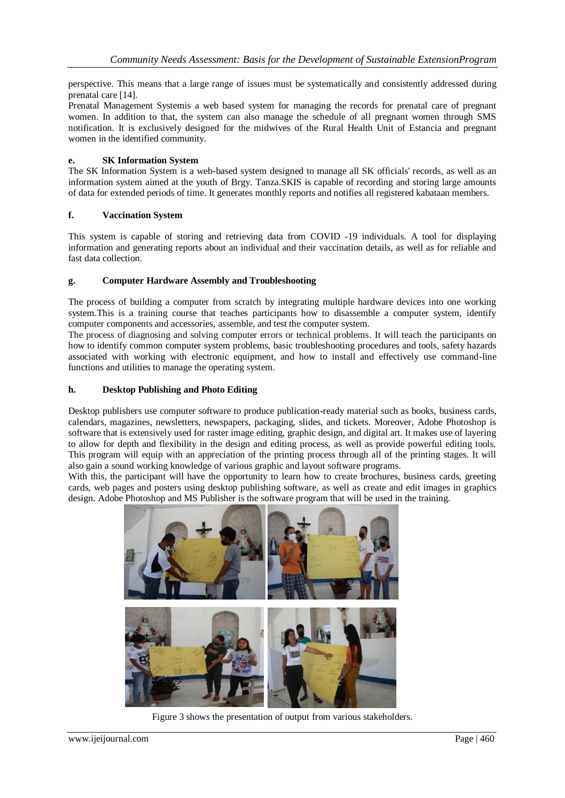perspective. This means that a large range of issues must be systematically and consistently addressed during prenatal care [14].

Prenatal Management Systemis a web based system for managing the records for prenatal care of pregnant women. In addition to that, the system can also manage the schedule of all pregnant women through SMS notification. It is exclusively designed for the midwives of the Rural Health Unit of Estancia and pregnant women in the identified community.

#### **e. SK Information System**

The SK Information System is a web-based system designed to manage all SK officials' records, as well as an information system aimed at the youth of Brgy. Tanza.SKIS is capable of recording and storing large amounts of data for extended periods of time. It generates monthly reports and notifies all registered kabataan members.

#### **f. Vaccination System**

This system is capable of storing and retrieving data from COVID -19 individuals. A tool for displaying information and generating reports about an individual and their vaccination details, as well as for reliable and fast data collection.

#### **g. Computer Hardware Assembly and Troubleshooting**

The process of building a computer from scratch by integrating multiple hardware devices into one working system.This is a training course that teaches participants how to disassemble a computer system, identify computer components and accessories, assemble, and test the computer system.

The process of diagnosing and solving computer errors or technical problems. It will teach the participants on how to identify common computer system problems, basic troubleshooting procedures and tools, safety hazards associated with working with electronic equipment, and how to install and effectively use command-line functions and utilities to manage the operating system.

#### **h. Desktop Publishing and Photo Editing**

Desktop publishers use computer software to produce publication-ready material such as books, business cards, calendars, magazines, newsletters, newspapers, packaging, slides, and tickets. Moreover, Adobe Photoshop is software that is extensively used for raster image editing, graphic design, and digital art. It makes use of layering to allow for depth and flexibility in the design and editing process, as well as provide powerful editing tools. This program will equip with an appreciation of the printing process through all of the printing stages. It will also gain a sound working knowledge of various graphic and layout software programs.

With this, the participant will have the opportunity to learn how to create brochures, business cards, greeting cards, web pages and posters using desktop publishing software, as well as create and edit images in graphics design. Adobe Photoshop and MS Publisher is the software program that will be used in the training.



Figure 3 shows the presentation of output from various stakeholders.